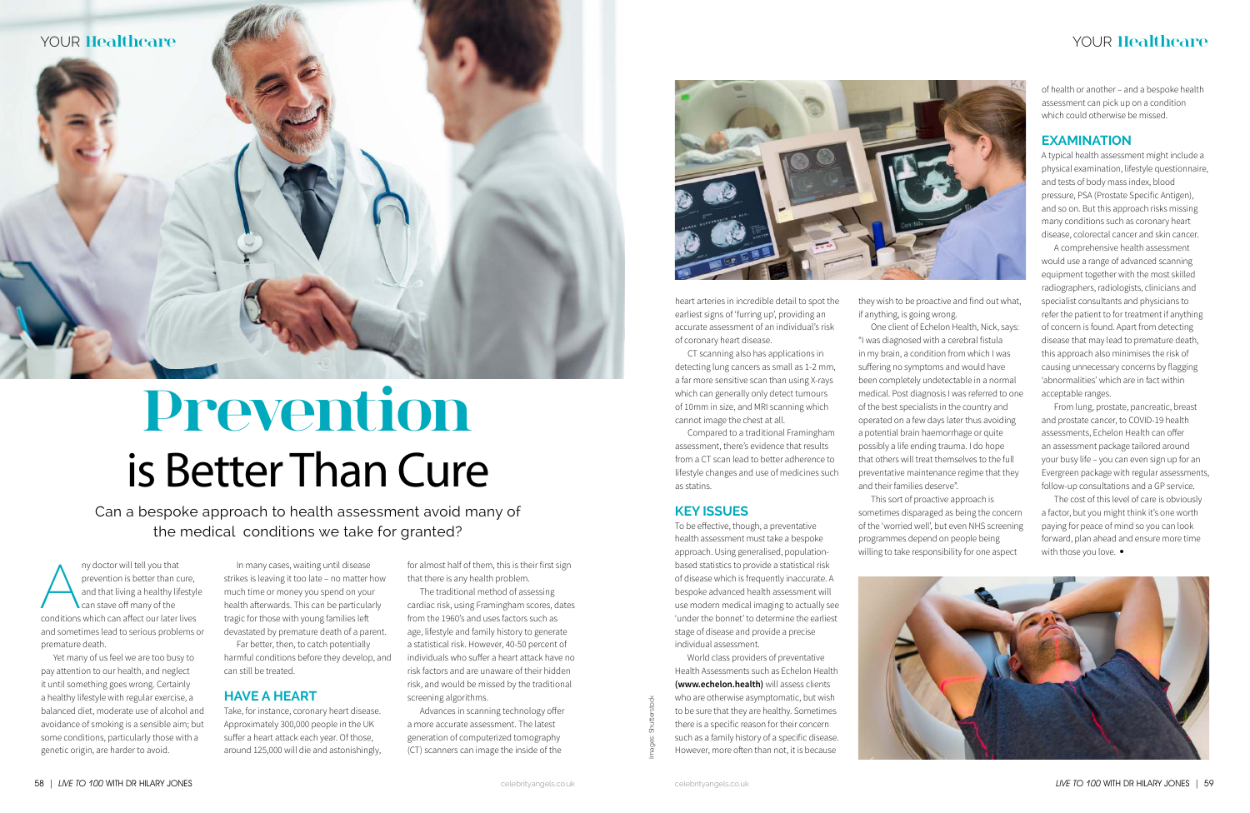Images: Shutterstock



A ny doctor will tell you that prevention is better than cure, and that living a healthy lifestyle can stave off many of the conditions which can affect our later lives and sometimes lead to serious problems or premature death.

Yet many of us feel we are too busy to pay attention to our health, and neglect it until something goes wrong. Certainly a healthy lifestyle with regular exercise, a balanced diet, moderate use of alcohol and avoidance of smoking is a sensible aim; but some conditions, particularly those with a genetic origin, are harder to avoid.

In many cases, waiting until disease strikes is leaving it too late – no matter how much time or money you spend on your health afterwards. This can be particularly tragic for those with young families left devastated by premature death of a parent.

Far better, then, to catch potentially harmful conditions before they develop, and can still be treated.

#### **Have a Heart**

Take, for instance, coronary heart disease. Approximately 300,000 people in the UK suffer a heart attack each year. Of those, around 125,000 will die and astonishingly, for almost half of them, this is their first sign that there is any health problem.

The traditional method of assessing cardiac risk, using Framingham scores, dates from the 1960's and uses factors such as age, lifestyle and family history to generate a statistical risk. However, 40-50 percent of individuals who suffer a heart attack have no risk factors and are unaware of their hidden risk, and would be missed by the traditional screening algorithms.

Advances in scanning technology offer a more accurate assessment. The latest generation of computerized tomography (CT) scanners can image the inside of the



heart arteries in incredible detail to spot the earliest signs of 'furring up', providing an accurate assessment of an individual's risk of coronary heart disease.

CT scanning also has applications in detecting lung cancers as small as 1-2 mm, a far more sensitive scan than using X-rays which can generally only detect tumours of 10mm in size, and MRI scanning which cannot image the chest at all.

Compared to a traditional Framingham assessment, there's evidence that results from a CT scan lead to better adherence to lifestyle changes and use of medicines such as statins.

#### **Key issues**

To be effective, though, a preventative health assessment must take a bespoke approach. Using generalised, populationbased statistics to provide a statistical risk of disease which is frequently inaccurate. A bespoke advanced health assessment will use modern medical imaging to actually see 'under the bonnet' to determine the earliest stage of disease and provide a precise individual assessment.

World class providers of preventative Health Assessments such as Echelon Health **(www.echelon.health)** will assess clients who are otherwise asymptomatic, but wish to be sure that they are healthy. Sometimes there is a specific reason for their concern such as a family history of a specific disease. However, more often than not, it is because

they wish to be proactive and find out what, if anything, is going wrong.

One client of Echelon Health, Nick, says: "I was diagnosed with a cerebral fistula in my brain, a condition from which I was suffering no symptoms and would have been completely undetectable in a normal medical. Post diagnosis I was referred to one of the best specialists in the country and operated on a few days later thus avoiding a potential brain haemorrhage or quite possibly a life ending trauma. I do hope that others will treat themselves to the full preventative maintenance regime that they and their families deserve".

This sort of proactive approach is sometimes disparaged as being the concern of the 'worried well', but even NHS screening programmes depend on people being willing to take responsibility for one aspect



of health or another – and a bespoke health assessment can pick up on a condition which could otherwise be missed.

#### **examination**

A typical health assessment might include a physical examination, lifestyle questionnaire, and tests of body mass index, blood pressure, PSA (Prostate Specific Antigen), and so on. But this approach risks missing many conditions such as coronary heart disease, colorectal cancer and skin cancer.

A comprehensive health assessment would use a range of advanced scanning equipment together with the most skilled radiographers, radiologists, clinicians and specialist consultants and physicians to refer the patient to for treatment if anything of concern is found. Apart from detecting disease that may lead to premature death, this approach also minimises the risk of causing unnecessary concerns by flagging 'abnormalities' which are in fact within acceptable ranges.

From lung, prostate, pancreatic, breast and prostate cancer, to COVID-19 health assessments, Echelon Health can offer an assessment package tailored around your busy life – you can even sign up for an Evergreen package with regular assessments, follow-up consultations and a GP service.

The cost of this level of care is obviously a factor, but you might think it's one worth paying for peace of mind so you can look forward, plan ahead and ensure more time with those you love. •

# **Prevention** is Better Than Cure



Can a bespoke approach to health assessment avoid many of the medical conditions we take for granted?